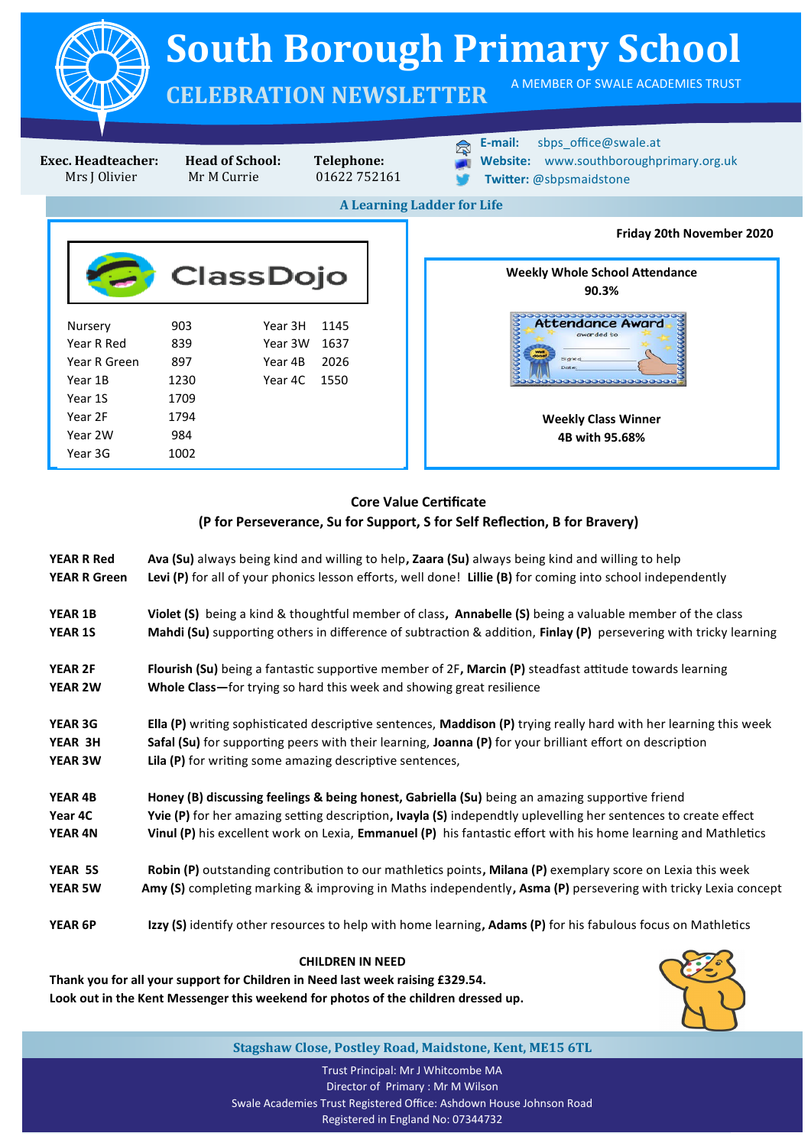

**Weekly Class Winner 4B with 95.68%**

## **Core Value Certificate (P for Perseverance, Su for Support, S for Self Reflection, B for Bravery)**

|                                          | <b>CHILDREN IN NEED</b>                                                                                                                                                                                         |  |  |  |  |
|------------------------------------------|-----------------------------------------------------------------------------------------------------------------------------------------------------------------------------------------------------------------|--|--|--|--|
| <b>YEAR 6P</b>                           | Izzy (S) identify other resources to help with home learning, Adams (P) for his fabulous focus on Mathletics                                                                                                    |  |  |  |  |
| <b>YEAR 5W</b>                           | Amy (S) completing marking & improving in Maths independently, Asma (P) persevering with tricky Lexia concept                                                                                                   |  |  |  |  |
| YEAR 5S                                  | Robin (P) outstanding contribution to our mathletics points, Milana (P) exemplary score on Lexia this week                                                                                                      |  |  |  |  |
| <b>YEAR 4N</b>                           | Vinul (P) his excellent work on Lexia, Emmanuel (P) his fantastic effort with his home learning and Mathletics                                                                                                  |  |  |  |  |
| Year 4C                                  | Yvie (P) for her amazing setting description, Ivayla (S) independtly uplevelling her sentences to create effect                                                                                                 |  |  |  |  |
| YEAR 4B                                  | Honey (B) discussing feelings & being honest, Gabriella (Su) being an amazing supportive friend                                                                                                                 |  |  |  |  |
| <b>YEAR 3W</b>                           | <b>Lila (P)</b> for writing some amazing descriptive sentences,                                                                                                                                                 |  |  |  |  |
| YEAR 3H                                  | Safal (Su) for supporting peers with their learning, Joanna (P) for your brilliant effort on description                                                                                                        |  |  |  |  |
| <b>YEAR 3G</b>                           | Ella $(P)$ writing sophisticated descriptive sentences, Maddison $(P)$ trying really hard with her learning this week                                                                                           |  |  |  |  |
| YEAR 2W                                  | Whole Class-for trying so hard this week and showing great resilience                                                                                                                                           |  |  |  |  |
| <b>YEAR 2F</b>                           | Flourish (Su) being a fantastic supportive member of 2F, Marcin (P) steadfast attitude towards learning                                                                                                         |  |  |  |  |
| YEAR 1S                                  | Mahdi (Su) supporting others in difference of subtraction & addition, Finlay (P) persevering with tricky learning                                                                                               |  |  |  |  |
| <b>YEAR 1B</b>                           | Violet (S) being a kind & thoughtful member of class, Annabelle (S) being a valuable member of the class                                                                                                        |  |  |  |  |
| <b>YEAR R Red</b><br><b>YEAR R Green</b> | Ava (Su) always being kind and willing to help, Zaara (Su) always being kind and willing to help<br>Levi (P) for all of your phonics lesson efforts, well done! Lillie (B) for coming into school independently |  |  |  |  |
|                                          |                                                                                                                                                                                                                 |  |  |  |  |

**Thank you for all your support for Children in Need last week raising £329.54. Look out in the Kent Messenger this weekend for photos of the children dressed up.**

Year 2W 984 Year 3G 1002



**Stagshaw Close, Postley Road, Maidstone, Kent, ME15 6TL**

Trust Principal: Mr J Whitcombe MA Director of Primary : Mr M Wilson Swale Academies Trust Registered Office: Ashdown House Johnson Road Registered in England No: 07344732